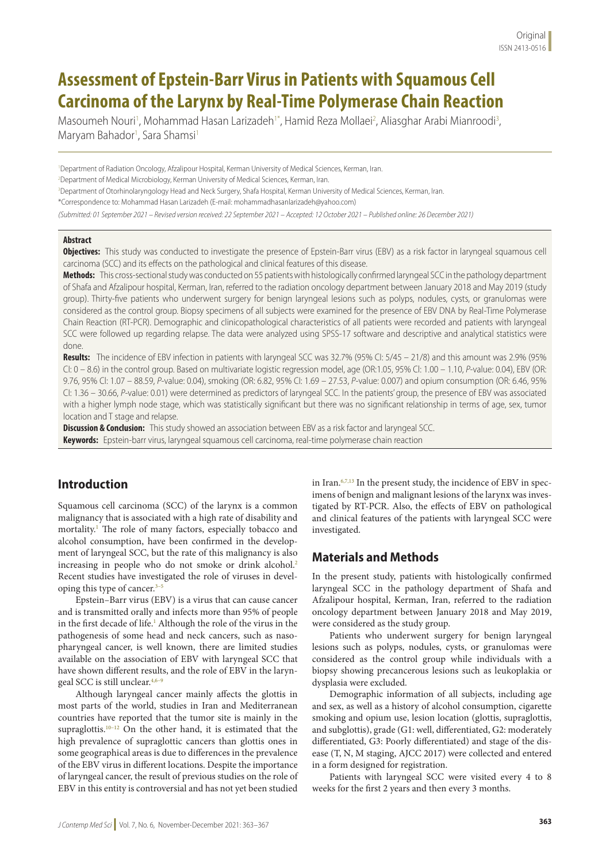# **Assessment of Epstein-Barr Virus in Patients with Squamous Cell Carcinoma of the Larynx by Real-Time Polymerase Chain Reaction**

Masoumeh Nouri<sup>1</sup>, Mohammad Hasan Larizadeh<sup>1\*</sup>, Hamid Reza Mollaei<sup>2</sup>, Aliasghar Arabi Mianroodi<sup>3</sup>, Maryam Bahador<sup>1</sup>, Sara Shamsi<sup>1</sup>

1 Department of Radiation Oncology, Afzalipour Hospital, Kerman University of Medical Sciences, Kerman, Iran. 2 Department of Medical Microbiology, Kerman University of Medical Sciences, Kerman, Iran.

3 Department of Otorhinolaryngology Head and Neck Surgery, Shafa Hospital, Kerman University of Medical Sciences, Kerman, Iran.

\*Correspondence to: Mohammad Hasan Larizadeh (E-mail: mohammadhasanlarizadeh@yahoo.com)

*(Submitted: 01 September 2021 – Revised version received: 22 September 2021 – Accepted: 12 October 2021 – Published online: 26 December 2021)*

## **Abstract**

**Objectives:** This study was conducted to investigate the presence of Epstein-Barr virus (EBV) as a risk factor in laryngeal squamous cell carcinoma (SCC) and its effects on the pathological and clinical features of this disease.

**Methods:** This cross-sectional study was conducted on 55 patients with histologically confirmed laryngeal SCC in the pathology department of Shafa and Afzalipour hospital, Kerman, Iran, referred to the radiation oncology department between January 2018 and May 2019 (study group). Thirty-five patients who underwent surgery for benign laryngeal lesions such as polyps, nodules, cysts, or granulomas were considered as the control group. Biopsy specimens of all subjects were examined for the presence of EBV DNA by Real-Time Polymerase Chain Reaction (RT-PCR). Demographic and clinicopathological characteristics of all patients were recorded and patients with laryngeal SCC were followed up regarding relapse. The data were analyzed using SPSS-17 software and descriptive and analytical statistics were done.

**Results:** The incidence of EBV infection in patients with laryngeal SCC was 32.7% (95% CI: 5/45 – 21/8) and this amount was 2.9% (95% CI: 0 – 8.6) in the control group. Based on multivariate logistic regression model, age (OR:1.05, 95% Cl: 1.00 – 1.10, *P*-value: 0.04), EBV (OR: 9.76, 95% Cl: 1.07 – 88.59, *P*-value: 0.04), smoking (OR: 6.82, 95% CI: 1.69 – 27.53, *P*-value: 0.007) and opium consumption (OR: 6.46, 95% CI: 1.36 – 30.66, *P*-value: 0.01) were determined as predictors of laryngeal SCC. In the patients' group, the presence of EBV was associated with a higher lymph node stage, which was statistically significant but there was no significant relationship in terms of age, sex, tumor location and T stage and relapse.

**Discussion & Conclusion:** This study showed an association between EBV as a risk factor and laryngeal SCC. **Keywords:** Epstein-barr virus, laryngeal squamous cell carcinoma, real-time polymerase chain reaction

# **Introduction**

Squamous cell carcinoma (SCC) of the larynx is a common malignancy that is associated with a high rate of disability and mortality.1 The role of many factors, especially tobacco and alcohol consumption, have been confirmed in the development of laryngeal SCC, but the rate of this malignancy is also increasing in people who do not smoke or drink alcohol.<sup>2</sup> Recent studies have investigated the role of viruses in developing this type of cancer.<sup>3-5</sup>

Epstein–Barr virus (EBV) is a virus that can cause cancer and is transmitted orally and infects more than 95% of people in the first decade of life.<sup>1</sup> Although the role of the virus in the pathogenesis of some head and neck cancers, such as nasopharyngeal cancer, is well known, there are limited studies available on the association of EBV with laryngeal SCC that have shown different results, and the role of EBV in the laryngeal SCC is still unclear.<sup>4,6-9</sup>

Although laryngeal cancer mainly affects the glottis in most parts of the world, studies in Iran and Mediterranean countries have reported that the tumor site is mainly in the supraglottis.<sup>10–12</sup> On the other hand, it is estimated that the high prevalence of supraglottic cancers than glottis ones in some geographical areas is due to differences in the prevalence of the EBV virus in different locations. Despite the importance of laryngeal cancer, the result of previous studies on the role of EBV in this entity is controversial and has not yet been studied

in Iran. $6,7,13$  In the present study, the incidence of EBV in specimens of benign and malignant lesions of the larynx was investigated by RT-PCR. Also, the effects of EBV on pathological and clinical features of the patients with laryngeal SCC were investigated.

# **Materials and Methods**

In the present study, patients with histologically confirmed laryngeal SCC in the pathology department of Shafa and Afzalipour hospital, Kerman, Iran, referred to the radiation oncology department between January 2018 and May 2019, were considered as the study group.

Patients who underwent surgery for benign laryngeal lesions such as polyps, nodules, cysts, or granulomas were considered as the control group while individuals with a biopsy showing precancerous lesions such as leukoplakia or dysplasia were excluded.

Demographic information of all subjects, including age and sex, as well as a history of alcohol consumption, cigarette smoking and opium use, lesion location (glottis, supraglottis, and subglottis), grade (G1: well, differentiated, G2: moderately differentiated, G3: Poorly differentiated) and stage of the disease (T, N, M staging, AJCC 2017) were collected and entered in a form designed for registration.

Patients with laryngeal SCC were visited every 4 to 8 weeks for the first 2 years and then every 3 months.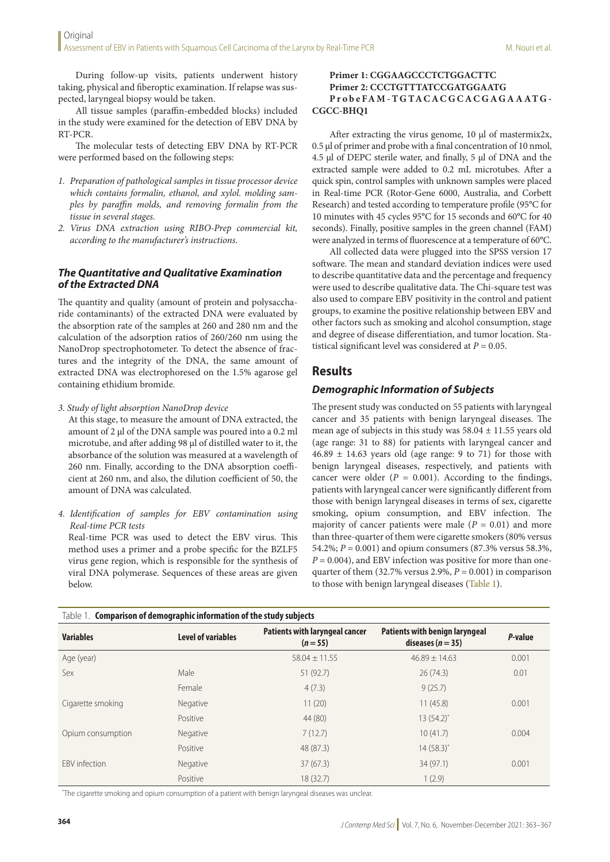During follow-up visits, patients underwent history taking, physical and fiberoptic examination. If relapse was suspected, laryngeal biopsy would be taken.

All tissue samples (paraffin-embedded blocks) included in the study were examined for the detection of EBV DNA by RT-PCR.

The molecular tests of detecting EBV DNA by RT-PCR were performed based on the following steps:

- *1. Preparation of pathological samples in tissue processor device which contains formalin, ethanol, and xylol. molding samples by paraffin molds, and removing formalin from the tissue in several stages.*
- *2. Virus DNA extraction using RIBO-Prep commercial kit, according to the manufacturer's instructions.*

### *The Quantitative and Qualitative Examination of the Extracted DNA*

The quantity and quality (amount of protein and polysaccharide contaminants) of the extracted DNA were evaluated by the absorption rate of the samples at 260 and 280 nm and the calculation of the adsorption ratios of 260/260 nm using the NanoDrop spectrophotometer. To detect the absence of fractures and the integrity of the DNA, the same amount of extracted DNA was electrophoresed on the 1.5% agarose gel containing ethidium bromide.

*3. Study of light absorption NanoDrop device*

At this stage, to measure the amount of DNA extracted, the amount of 2 µl of the DNA sample was poured into a 0.2 ml microtube, and after adding 98 µl of distilled water to it, the absorbance of the solution was measured at a wavelength of 260 nm. Finally, according to the DNA absorption coefficient at 260 nm, and also, the dilution coefficient of 50, the amount of DNA was calculated.

*4. Identification of samples for EBV contamination using Real-time PCR tests*

Real-time PCR was used to detect the EBV virus. This method uses a primer and a probe specific for the BZLF5 virus gene region, which is responsible for the synthesis of viral DNA polymerase. Sequences of these areas are given below.

#### **Primer 1: CGGAAGCCCTCTGGACTTC Primer 2: CCCTGTTTATCCGATGGAATG ProbeFAM-TGTACACGCACGAGAAATG - CGCC-BHQ1**

After extracting the virus genome, 10 μl of mastermix2x, 0.5 μl of primer and probe with a final concentration of 10 nmol, 4.5 μl of DEPC sterile water, and finally, 5 μl of DNA and the extracted sample were added to 0.2 mL microtubes. After a quick spin, control samples with unknown samples were placed in Real-time PCR (Rotor-Gene 6000, Australia, and Corbett Research) and tested according to temperature profile (95°C for 10 minutes with 45 cycles 95°C for 15 seconds and 60°C for 40 seconds). Finally, positive samples in the green channel (FAM) were analyzed in terms of fluorescence at a temperature of 60°C.

All collected data were plugged into the SPSS version 17 software. The mean and standard deviation indices were used to describe quantitative data and the percentage and frequency were used to describe qualitative data. The Chi-square test was also used to compare EBV positivity in the control and patient groups, to examine the positive relationship between EBV and other factors such as smoking and alcohol consumption, stage and degree of disease differentiation, and tumor location. Statistical significant level was considered at  $P = 0.05$ .

## **Results**

## *Demographic Information of Subjects*

The present study was conducted on 55 patients with laryngeal cancer and 35 patients with benign laryngeal diseases. The mean age of subjects in this study was  $58.04 \pm 11.55$  years old (age range: 31 to 88) for patients with laryngeal cancer and  $46.89 \pm 14.63$  years old (age range: 9 to 71) for those with benign laryngeal diseases, respectively, and patients with cancer were older  $(P = 0.001)$ . According to the findings, patients with laryngeal cancer were significantly different from those with benign laryngeal diseases in terms of sex, cigarette smoking, opium consumption, and EBV infection. The majority of cancer patients were male  $(P = 0.01)$  and more than three-quarter of them were cigarette smokers (80% versus 54.2%; *P* = 0.001) and opium consumers (87.3% versus 58.3%,  $P = 0.004$ ), and EBV infection was positive for more than onequarter of them  $(32.7\% \text{ versus } 2.9\%, P = 0.001)$  in comparison to those with benign laryngeal diseases (Table 1).

| Table 1. Comparison of demographic information of the study subjects |                           |                                                     |                                                                |         |  |  |
|----------------------------------------------------------------------|---------------------------|-----------------------------------------------------|----------------------------------------------------------------|---------|--|--|
| <b>Variables</b>                                                     | <b>Level of variables</b> | <b>Patients with laryngeal cancer</b><br>$(n = 55)$ | <b>Patients with benign laryngeal</b><br>diseases ( $n = 35$ ) | P-value |  |  |
| Age (year)                                                           |                           | $58.04 \pm 11.55$                                   | $46.89 + 14.63$                                                | 0.001   |  |  |
| Sex                                                                  | Male                      | 51(92.7)                                            | 26(74.3)                                                       | 0.01    |  |  |
|                                                                      | Female                    | 4(7.3)                                              | 9(25.7)                                                        |         |  |  |
| Cigarette smoking                                                    | Negative                  | 11(20)                                              | 11(45.8)                                                       | 0.001   |  |  |
|                                                                      | Positive                  | 44 (80)                                             | $13(54.2)^{*}$                                                 |         |  |  |
| Opium consumption                                                    | Negative                  | 7(12.7)                                             | 10(41.7)                                                       | 0.004   |  |  |
|                                                                      | Positive                  | 48 (87.3)                                           | $14(58.3)^{*}$                                                 |         |  |  |
| FBV infection                                                        | Negative                  | 37(67.3)                                            | 34(97.1)                                                       | 0.001   |  |  |
|                                                                      | Positive                  | 18(32.7)                                            | 1(2.9)                                                         |         |  |  |

\* The cigarette smoking and opium consumption of a patient with benign laryngeal diseases was unclear.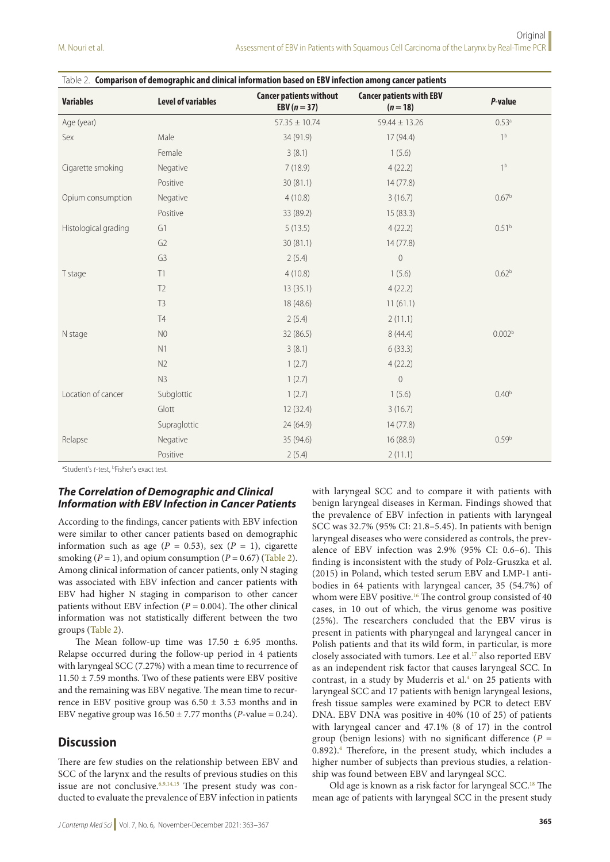| Table 2. Comparison of demographic and clinical information based on EBV infection among cancer patients |                           |                                                  |                                               |                    |  |  |
|----------------------------------------------------------------------------------------------------------|---------------------------|--------------------------------------------------|-----------------------------------------------|--------------------|--|--|
| <b>Variables</b>                                                                                         | <b>Level of variables</b> | <b>Cancer patients without</b><br>EBV $(n = 37)$ | <b>Cancer patients with EBV</b><br>$(n = 18)$ | P-value            |  |  |
| Age (year)                                                                                               |                           | $57.35 \pm 10.74$                                | $59.44 \pm 13.26$                             | 0.53a              |  |  |
| Sex                                                                                                      | Male                      | 34 (91.9)                                        | 17 (94.4)                                     | 1 <sup>b</sup>     |  |  |
|                                                                                                          | Female                    | 3(8.1)                                           | 1(5.6)                                        |                    |  |  |
| Cigarette smoking                                                                                        | Negative                  | 7(18.9)                                          | 4(22.2)                                       | 1 <sup>b</sup>     |  |  |
|                                                                                                          | Positive                  | 30(81.1)                                         | 14(77.8)                                      |                    |  |  |
| Opium consumption                                                                                        | Negative                  | 4(10.8)                                          | 3(16.7)                                       | 0.67 <sup>b</sup>  |  |  |
|                                                                                                          | Positive                  | 33 (89.2)                                        | 15(83.3)                                      |                    |  |  |
| Histological grading                                                                                     | G1                        | 5(13.5)                                          | 4(22.2)                                       | $0.51^{b}$         |  |  |
|                                                                                                          | G <sub>2</sub>            | 30 (81.1)                                        | 14(77.8)                                      |                    |  |  |
|                                                                                                          | G <sub>3</sub>            | 2(5.4)                                           | $\mathbf 0$                                   |                    |  |  |
| T stage                                                                                                  | T1                        | 4(10.8)                                          | 1(5.6)                                        | 0.62 <sup>b</sup>  |  |  |
|                                                                                                          | T <sub>2</sub>            | 13(35.1)                                         | 4(22.2)                                       |                    |  |  |
|                                                                                                          | T <sub>3</sub>            | 18 (48.6)                                        | 11(61.1)                                      |                    |  |  |
|                                                                                                          | T4                        | 2(5.4)                                           | 2(11.1)                                       |                    |  |  |
| N stage                                                                                                  | N <sub>0</sub>            | 32(86.5)                                         | 8(44.4)                                       | 0.002 <sup>b</sup> |  |  |
|                                                                                                          | N1                        | 3(8.1)                                           | 6(33.3)                                       |                    |  |  |
|                                                                                                          | N2                        | 1(2.7)                                           | 4(22.2)                                       |                    |  |  |
| Location of cancer                                                                                       | N3                        | 1(2.7)                                           | $\overline{0}$                                |                    |  |  |
|                                                                                                          | Subglottic                | 1(2.7)                                           | 1(5.6)                                        | 0.40 <sup>b</sup>  |  |  |
|                                                                                                          | Glott                     | 12(32.4)                                         | 3(16.7)                                       |                    |  |  |
|                                                                                                          | Supraglottic              | 24 (64.9)                                        | 14(77.8)                                      |                    |  |  |
| Relapse                                                                                                  | Negative                  | 35 (94.6)                                        | 16 (88.9)                                     | 0.59 <sup>b</sup>  |  |  |
|                                                                                                          | Positive                  | 2(5.4)                                           | 2(11.1)                                       |                    |  |  |

<sup>a</sup>Student's t-test, <sup>b</sup>Fisher's exact test.

## *The Correlation of Demographic and Clinical Information with EBV Infection in Cancer Patients*

According to the findings, cancer patients with EBV infection were similar to other cancer patients based on demographic information such as age ( $P = 0.53$ ), sex ( $P = 1$ ), cigarette smoking  $(P = 1)$ , and opium consumption  $(P = 0.67)$  (Table 2). Among clinical information of cancer patients, only N staging was associated with EBV infection and cancer patients with EBV had higher N staging in comparison to other cancer patients without EBV infection  $(P = 0.004)$ . The other clinical information was not statistically different between the two groups (Table 2).

The Mean follow-up time was  $17.50 \pm 6.95$  months. Relapse occurred during the follow-up period in 4 patients with laryngeal SCC (7.27%) with a mean time to recurrence of  $11.50 \pm 7.59$  months. Two of these patients were EBV positive and the remaining was EBV negative. The mean time to recurrence in EBV positive group was  $6.50 \pm 3.53$  months and in EBV negative group was  $16.50 \pm 7.77$  months (*P*-value = 0.24).

## **Discussion**

There are few studies on the relationship between EBV and SCC of the larynx and the results of previous studies on this issue are not conclusive.  $6,9,14,15$  The present study was conducted to evaluate the prevalence of EBV infection in patients

with laryngeal SCC and to compare it with patients with benign laryngeal diseases in Kerman. Findings showed that the prevalence of EBV infection in patients with laryngeal SCC was 32.7% (95% CI: 21.8–5.45). In patients with benign laryngeal diseases who were considered as controls, the prevalence of EBV infection was 2.9% (95% CI: 0.6–6). This finding is inconsistent with the study of Polz-Gruszka et al. (2015) in Poland, which tested serum EBV and LMP-1 antibodies in 64 patients with laryngeal cancer, 35 (54.7%) of whom were EBV positive.<sup>16</sup> The control group consisted of 40 cases, in 10 out of which, the virus genome was positive (25%). The researchers concluded that the EBV virus is present in patients with pharyngeal and laryngeal cancer in Polish patients and that its wild form, in particular, is more closely associated with tumors. Lee et al.<sup>17</sup> also reported EBV as an independent risk factor that causes laryngeal SCC. In contrast, in a study by Muderris et al. $4$  on 25 patients with laryngeal SCC and 17 patients with benign laryngeal lesions, fresh tissue samples were examined by PCR to detect EBV DNA. EBV DNA was positive in 40% (10 of 25) of patients with laryngeal cancer and 47.1% (8 of 17) in the control group (benign lesions) with no significant difference ( $P =$ 0.892).4 Therefore, in the present study, which includes a higher number of subjects than previous studies, a relationship was found between EBV and laryngeal SCC.

Old age is known as a risk factor for laryngeal SCC.18 The mean age of patients with laryngeal SCC in the present study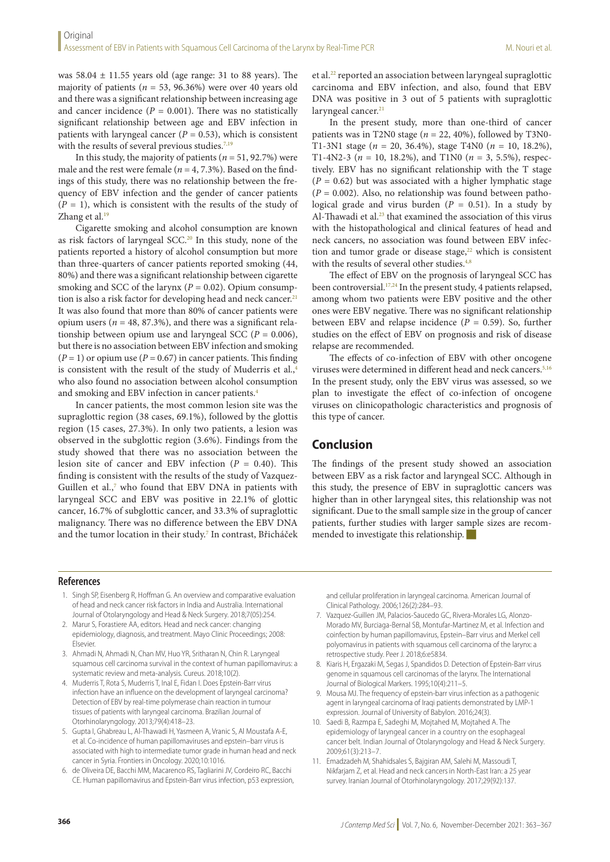was  $58.04 \pm 11.55$  years old (age range: 31 to 88 years). The majority of patients ( $n = 53$ , 96.36%) were over 40 years old and there was a significant relationship between increasing age and cancer incidence  $(P = 0.001)$ . There was no statistically significant relationship between age and EBV infection in patients with laryngeal cancer  $(P = 0.53)$ , which is consistent with the results of several previous studies. $7,19$ 

In this study, the majority of patients (*n* = 51, 92.7%) were male and the rest were female ( $n = 4, 7.3%$ ). Based on the findings of this study, there was no relationship between the frequency of EBV infection and the gender of cancer patients  $(P = 1)$ , which is consistent with the results of the study of Zhang et al.<sup>19</sup>

Cigarette smoking and alcohol consumption are known as risk factors of laryngeal SCC.<sup>20</sup> In this study, none of the patients reported a history of alcohol consumption but more than three-quarters of cancer patients reported smoking (44, 80%) and there was a significant relationship between cigarette smoking and SCC of the larynx  $(P = 0.02)$ . Opium consumption is also a risk factor for developing head and neck cancer.<sup>21</sup> It was also found that more than 80% of cancer patients were opium users ( $n = 48, 87.3\%$ ), and there was a significant relationship between opium use and laryngeal SCC ( $P = 0.006$ ), but there is no association between EBV infection and smoking  $(P = 1)$  or opium use  $(P = 0.67)$  in cancer patients. This finding is consistent with the result of the study of Muderris et al.,<sup>4</sup> who also found no association between alcohol consumption and smoking and EBV infection in cancer patients.4

In cancer patients, the most common lesion site was the supraglottic region (38 cases, 69.1%), followed by the glottis region (15 cases, 27.3%). In only two patients, a lesion was observed in the subglottic region (3.6%). Findings from the study showed that there was no association between the lesion site of cancer and EBV infection (*P* = 0.40). This finding is consistent with the results of the study of Vazquez-Guillen et al.,<sup>7</sup> who found that EBV DNA in patients with laryngeal SCC and EBV was positive in 22.1% of glottic cancer, 16.7% of subglottic cancer, and 33.3% of supraglottic malignancy. There was no difference between the EBV DNA and the tumor location in their study.<sup>7</sup> In contrast, Břicháček et al.22 reported an association between laryngeal supraglottic carcinoma and EBV infection, and also, found that EBV DNA was positive in 3 out of 5 patients with supraglottic laryngeal cancer.<sup>21</sup>

In the present study, more than one-third of cancer patients was in T2N0 stage ( $n = 22, 40\%$ ), followed by T3N0-T1-3N1 stage (*n* = 20, 36.4%), stage T4N0 (*n* = 10, 18.2%), T1-4N2-3 ( $n = 10$ , 18.2%), and T1N0 ( $n = 3$ , 5.5%), respectively. EBV has no significant relationship with the T stage  $(P = 0.62)$  but was associated with a higher lymphatic stage  $(P = 0.002)$ . Also, no relationship was found between pathological grade and virus burden ( $P = 0.51$ ). In a study by Al-Thawadi et al.<sup>23</sup> that examined the association of this virus with the histopathological and clinical features of head and neck cancers, no association was found between EBV infection and tumor grade or disease stage, $22$  which is consistent with the results of several other studies.<sup>4,8</sup>

The effect of EBV on the prognosis of laryngeal SCC has been controversial.<sup>17,24</sup> In the present study, 4 patients relapsed, among whom two patients were EBV positive and the other ones were EBV negative. There was no significant relationship between EBV and relapse incidence  $(P = 0.59)$ . So, further studies on the effect of EBV on prognosis and risk of disease relapse are recommended.

The effects of co-infection of EBV with other oncogene viruses were determined in different head and neck cancers.5,16 In the present study, only the EBV virus was assessed, so we plan to investigate the effect of co-infection of oncogene viruses on clinicopathologic characteristics and prognosis of this type of cancer.

# **Conclusion**

The findings of the present study showed an association between EBV as a risk factor and laryngeal SCC. Although in this study, the presence of EBV in supraglottic cancers was higher than in other laryngeal sites, this relationship was not significant. Due to the small sample size in the group of cancer patients, further studies with larger sample sizes are recommended to investigate this relationship.

## **References**

- 1. Singh SP, Eisenberg R, Hoffman G. An overview and comparative evaluation of head and neck cancer risk factors in India and Australia. International Journal of Otolaryngology and Head & Neck Surgery. 2018;7(05):254.
- 2. Marur S, Forastiere AA, editors. Head and neck cancer: changing epidemiology, diagnosis, and treatment. Mayo Clinic Proceedings; 2008: Elsevier.
- 3. Ahmadi N, Ahmadi N, Chan MV, Huo YR, Sritharan N, Chin R. Laryngeal squamous cell carcinoma survival in the context of human papillomavirus: a systematic review and meta-analysis. Cureus. 2018;10(2).
- 4. Muderris T, Rota S, Muderris T, Inal E, Fidan I. Does Epstein-Barr virus infection have an influence on the development of laryngeal carcinoma? Detection of EBV by real-time polymerase chain reaction in tumour tissues of patients with laryngeal carcinoma. Brazilian Journal of Otorhinolaryngology. 2013;79(4):418–23.
- 5. Gupta I, Ghabreau L, Al-Thawadi H, Yasmeen A, Vranic S, Al Moustafa A-E, et al. Co-incidence of human papillomaviruses and epstein–barr virus is associated with high to intermediate tumor grade in human head and neck cancer in Syria. Frontiers in Oncology. 2020;10:1016.
- 6. de Oliveira DE, Bacchi MM, Macarenco RS, Tagliarini JV, Cordeiro RC, Bacchi CE. Human papillomavirus and Epstein-Barr virus infection, p53 expression,

and cellular proliferation in laryngeal carcinoma. American Journal of Clinical Pathology. 2006;126(2):284–93.

- 7. Vazquez-Guillen JM, Palacios-Saucedo GC, Rivera-Morales LG, Alonzo-Morado MV, Burciaga-Bernal SB, Montufar-Martinez M, et al. Infection and coinfection by human papillomavirus, Epstein–Barr virus and Merkel cell polyomavirus in patients with squamous cell carcinoma of the larynx: a retrospective study. Peer J. 2018;6:e5834.
- 8. Kiaris H, Ergazaki M, Segas J, Spandidos D. Detection of Epstein-Barr virus genome in squamous cell carcinomas of the larynx. The International Journal of Biological Markers. 1995;10(4):211–5.
- 9. Mousa MJ. The frequency of epstein-barr virus infection as a pathogenic agent in laryngeal carcinoma of Iraqi patients demonstrated by LMP-1 expression. Journal of University of Babylon. 2016;24(3).
- 10. Saedi B, Razmpa E, Sadeghi M, Mojtahed M, Mojtahed A. The epidemiology of laryngeal cancer in a country on the esophageal cancer belt. Indian Journal of Otolaryngology and Head & Neck Surgery. 2009;61(3):213–7.
- 11. Emadzadeh M, Shahidsales S, Bajgiran AM, Salehi M, Massoudi T, Nikfarjam Z, et al. Head and neck cancers in North-East Iran: a 25 year survey. Iranian Journal of Otorhinolaryngology. 2017;29(92):137.